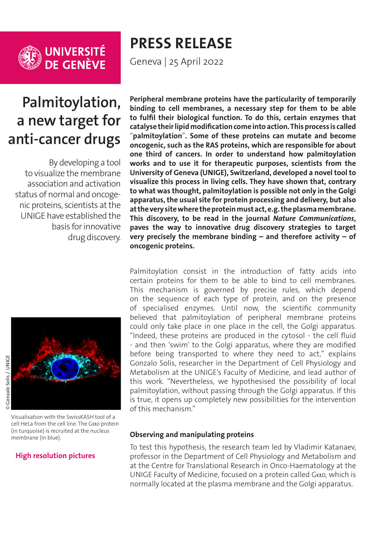

**UNIVERSITÉ<br>DE GENÈVE** 

# **PRESS RELEASE**

Geneva | 25 April 2022

# **Palmitoylation, a new target for anti-cancer drugs**

By developing a tool to visualize the membrane association and activation status of normal and oncogenic proteins, scientists at the UNIGE have established the basis for innovative drug discovery.



Visualisation with the SwissKASH tool of a cell HeLa from the cell line. The G $\alpha$ o protein (in turquoise) is recruited at the nucleus membrane (in blue).

#### **[High resolution pictures](https://phototheque.unige.ch/documents/facets?newFacet=mot.cle.marc%3DCdP_220422_Katanaev&clearFacets=1)**

**Peripheral membrane proteins have the particularity of temporarily binding to cell membranes, a necessary step for them to be able to fulfil their biological function. To do this, certain enzymes that catalyse their lipid modification come into action. This process is called**  "**palmitoylation**"**. Some of these proteins can mutate and become oncogenic, such as the RAS proteins, which are responsible for about one third of cancers. In order to understand how palmitoylation works and to use it for therapeutic purposes, scientists from the University of Geneva (UNIGE), Switzerland, developed a novel tool to visualize this process in living cells. They have shown that, contrary to what was thought, palmitoylation is possible not only in the Golgi apparatus, the usual site for protein processing and delivery, but also at the very site where the protein must act, e.g. the plasma membrane. This discovery, to be read in the journal** *Nature Communications***, paves the way to innovative drug discovery strategies to target very precisely the membrane binding – and therefore activity – of oncogenic proteins.**

Palmitoylation consist in the introduction of fatty acids into certain proteins for them to be able to bind to cell membranes. This mechanism is governed by precise rules, which depend on the sequence of each type of protein, and on the presence of specialised enzymes. Until now, the scientific community believed that palmitoylation of peripheral membrane proteins could only take place in one place in the cell, the Golgi apparatus. "Indeed, these proteins are produced in the cytosol - the cell fluid - and then 'swim' to the Golgi apparatus, where they are modified before being transported to where they need to act," explains Gonzalo Solis, researcher in the Department of Cell Physiology and Metabolism at the UNIGE's Faculty of Medicine, and lead author of this work. "Nevertheless, we hypothesised the possibility of local palmitoylation, without passing through the Golgi apparatus. If this is true, it opens up completely new possibilities for the intervention of this mechanism."

#### **Observing and manipulating proteins**

To test this hypothesis, the research team led by Vladimir Katanaev, professor in the Department of Cell Physiology and Metabolism and at the Centre for Translational Research in Onco-Haematology at the UNIGE Faculty of Medicine, focused on a protein called G $\alpha$ o, which is normally located at the plasma membrane and the Golgi apparatus.